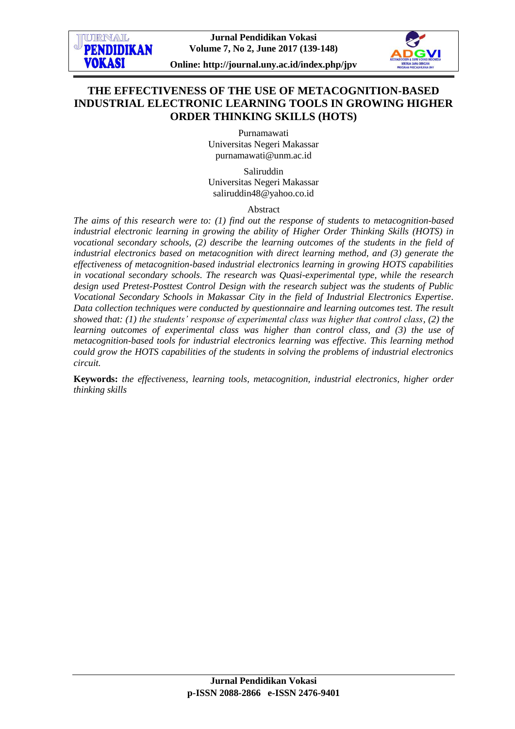

**Online: http://journal.uny.ac.id/index.php/jpv**

# **THE EFFECTIVENESS OF THE USE OF METACOGNITION-BASED INDUSTRIAL ELECTRONIC LEARNING TOOLS IN GROWING HIGHER ORDER THINKING SKILLS (HOTS)**

Purnamawati Universitas Negeri Makassar [purnamawati@unm.ac.id](mailto:adhemanis@gmail.com)

Saliruddin Universitas Negeri Makassar [saliruddin48@yahoo.co.id](mailto:saliruddin48@yahoo.co.id)

Abstract

*The aims of this research were to: (1) find out the response of students to metacognition-based industrial electronic learning in growing the ability of Higher Order Thinking Skills (HOTS) in vocational secondary schools, (2) describe the learning outcomes of the students in the field of industrial electronics based on metacognition with direct learning method, and (3) generate the effectiveness of metacognition-based industrial electronics learning in growing HOTS capabilities in vocational secondary schools. The research was Quasi-experimental type, while the research design used Pretest-Posttest Control Design with the research subject was the students of Public Vocational Secondary Schools in Makassar City in the field of Industrial Electronics Expertise. Data collection techniques were conducted by questionnaire and learning outcomes test. The result showed that: (1) the students' response of experimental class was higher that control class, (2) the learning outcomes of experimental class was higher than control class, and (3) the use of metacognition-based tools for industrial electronics learning was effective. This learning method could grow the HOTS capabilities of the students in solving the problems of industrial electronics circuit.* 

**Keywords:** *the effectiveness, learning tools, metacognition, industrial electronics, higher order thinking skills*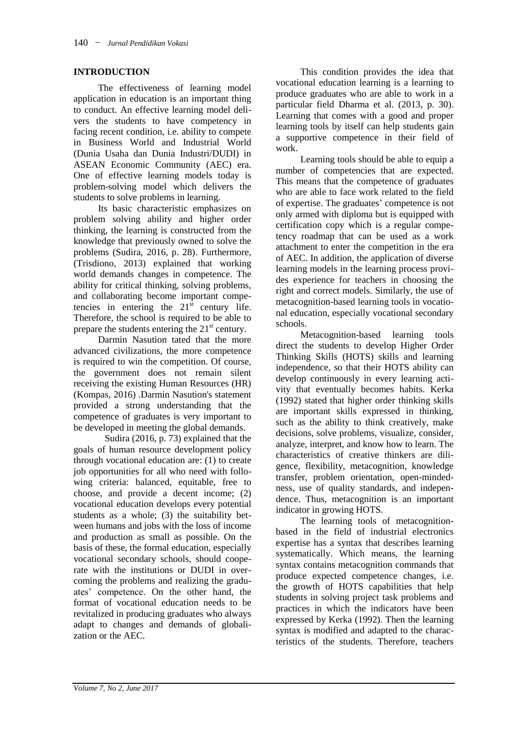# **INTRODUCTION**

The effectiveness of learning model application in education is an important thing to conduct. An effective learning model delivers the students to have competency in facing recent condition, i.e. ability to compete in Business World and Industrial World (Dunia Usaha dan Dunia Industri/DUDI) in ASEAN Economic Community (AEC) era. One of effective learning models today is problem-solving model which delivers the students to solve problems in learning.

Its basic characteristic emphasizes on problem solving ability and higher order thinking, the learning is constructed from the knowledge that previously owned to solve the problems (Sudira, 2016, p. 28). Furthermore, (Trisdiono, 2013) explained that working world demands changes in competence. The ability for critical thinking, solving problems, and collaborating become important competencies in entering the  $21<sup>st</sup>$  century life. Therefore, the school is required to be able to prepare the students entering the  $21<sup>st</sup>$  century.

Darmin Nasution tated that the more advanced civilizations, the more competence is required to win the competition. Of course, the government does not remain silent receiving the existing Human Resources (HR) (Kompas, 2016) .Darmin Nasution's statement provided a strong understanding that the competence of graduates is very important to be developed in meeting the global demands.

Sudira (2016, p. 73) explained that the goals of human resource development policy through vocational education are: (1) to create job opportunities for all who need with following criteria: balanced, equitable, free to choose, and provide a decent income; (2) vocational education develops every potential students as a whole; (3) the suitability between humans and jobs with the loss of income and production as small as possible. On the basis of these, the formal education, especially vocational secondary schools, should cooperate with the institutions or DUDI in overcoming the problems and realizing the graduates' competence. On the other hand, the format of vocational education needs to be revitalized in producing graduates who always adapt to changes and demands of globalization or the AEC.

This condition provides the idea that vocational education learning is a learning to produce graduates who are able to work in a particular field Dharma et al. (2013, p. 30). Learning that comes with a good and proper learning tools by itself can help students gain a supportive competence in their field of work.

Learning tools should be able to equip a number of competencies that are expected. This means that the competence of graduates who are able to face work related to the field of expertise. The graduates' competence is not only armed with diploma but is equipped with certification copy which is a regular competency roadmap that can be used as a work attachment to enter the competition in the era of AEC. In addition, the application of diverse learning models in the learning process provides experience for teachers in choosing the right and correct models. Similarly, the use of metacognition-based learning tools in vocational education, especially vocational secondary schools.

Metacognition-based learning tools direct the students to develop Higher Order Thinking Skills (HOTS) skills and learning independence, so that their HOTS ability can develop continuously in every learning activity that eventually becomes habits. Kerka (1992) stated that higher order thinking skills are important skills expressed in thinking, such as the ability to think creatively, make decisions, solve problems, visualize, consider, analyze, interpret, and know how to learn. The characteristics of creative thinkers are diligence, flexibility, metacognition, knowledge transfer, problem orientation, open-mindedness, use of quality standards, and independence. Thus, metacognition is an important indicator in growing HOTS.

The learning tools of metacognitionbased in the field of industrial electronics expertise has a syntax that describes learning systematically. Which means, the learning syntax contains metacognition commands that produce expected competence changes, i.e. the growth of HOTS capabilities that help students in solving project task problems and practices in which the indicators have been expressed by Kerka (1992). Then the learning syntax is modified and adapted to the characteristics of the students. Therefore, teachers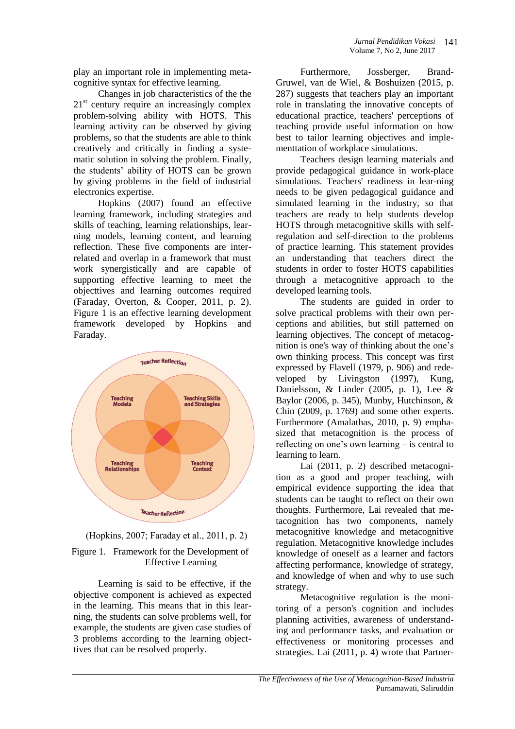play an important role in implementing metacognitive syntax for effective learning.

Changes in job characteristics of the the 21<sup>st</sup> century require an increasingly complex problem-solving ability with HOTS. This learning activity can be observed by giving problems, so that the students are able to think creatively and critically in finding a systematic solution in solving the problem. Finally, the students' ability of HOTS can be grown by giving problems in the field of industrial electronics expertise.

Hopkins (2007) found an effective learning framework, including strategies and skills of teaching, learning relationships, learning models, learning content, and learning reflection. These five components are interrelated and overlap in a framework that must work synergistically and are capable of supporting effective learning to meet the objecttives and learning outcomes required (Faraday, Overton, & Cooper, 2011, p. 2). Figure 1 is an effective learning development framework developed by Hopkins and Faraday.





Learning is said to be effective, if the objective component is achieved as expected in the learning. This means that in this learning, the students can solve problems well, for example, the students are given case studies of 3 problems according to the learning objecttives that can be resolved properly.

Furthermore, Jossberger, Brand-Gruwel, van de Wiel, & Boshuizen (2015, p. 287) suggests that teachers play an important role in translating the innovative concepts of educational practice, teachers' perceptions of teaching provide useful information on how best to tailor learning objectives and implementtation of workplace simulations.

Teachers design learning materials and provide pedagogical guidance in work-place simulations. Teachers' readiness in lear-ning needs to be given pedagogical guidance and simulated learning in the industry, so that teachers are ready to help students develop HOTS through metacognitive skills with selfregulation and self-direction to the problems of practice learning. This statement provides an understanding that teachers direct the students in order to foster HOTS capabilities through a metacognitive approach to the developed learning tools.

The students are guided in order to solve practical problems with their own perceptions and abilities, but still patterned on learning objectives. The concept of metacognition is one's way of thinking about the one's own thinking process. This concept was first expressed by Flavell (1979, p. 906) and redeveloped by Livingston (1997), Kung, Danielsson, & Linder (2005, p. 1), Lee & Baylor (2006, p. 345), Munby, Hutchinson, & Chin (2009, p. 1769) and some other experts. Furthermore (Amalathas, 2010, p. 9) emphasized that metacognition is the process of reflecting on one's own learning – is central to learning to learn.

Lai (2011, p. 2) described metacognition as a good and proper teaching, with empirical evidence supporting the idea that students can be taught to reflect on their own thoughts. Furthermore, Lai revealed that metacognition has two components, namely metacognitive knowledge and metacognitive regulation. Metacognitive knowledge includes knowledge of oneself as a learner and factors affecting performance, knowledge of strategy, and knowledge of when and why to use such strategy.

Metacognitive regulation is the monitoring of a person's cognition and includes planning activities, awareness of understanding and performance tasks, and evaluation or effectiveness or monitoring processes and strategies. Lai (2011, p. 4) wrote that Partner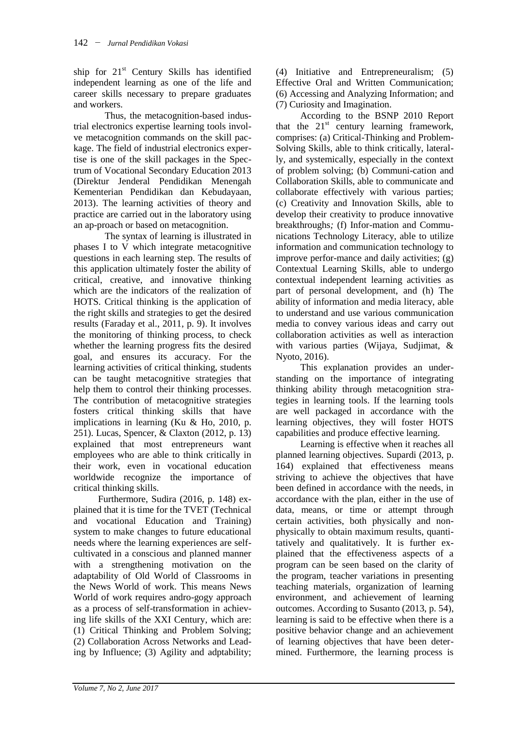ship for  $21<sup>st</sup>$  Century Skills has identified independent learning as one of the life and career skills necessary to prepare graduates and workers.

Thus, the metacognition-based industrial electronics expertise learning tools involve metacognition commands on the skill package. The field of industrial electronics expertise is one of the skill packages in the Spectrum of Vocational Secondary Education 2013 (Direktur Jenderal Pendidikan Menengah Kementerian Pendidikan dan Kebudayaan, 2013). The learning activities of theory and practice are carried out in the laboratory using an ap-proach or based on metacognition.

The syntax of learning is illustrated in phases I to V which integrate metacognitive questions in each learning step. The results of this application ultimately foster the ability of critical, creative, and innovative thinking which are the indicators of the realization of HOTS. Critical thinking is the application of the right skills and strategies to get the desired results (Faraday et al., 2011, p. 9). It involves the monitoring of thinking process, to check whether the learning progress fits the desired goal, and ensures its accuracy. For the learning activities of critical thinking, students can be taught metacognitive strategies that help them to control their thinking processes. The contribution of metacognitive strategies fosters critical thinking skills that have implications in learning (Ku & Ho, 2010, p. 251). Lucas, Spencer, & Claxton (2012, p. 13) explained that most entrepreneurs want employees who are able to think critically in their work, even in vocational education worldwide recognize the importance of critical thinking skills.

Furthermore, Sudira (2016, p. 148) explained that it is time for the TVET (Technical and vocational Education and Training) system to make changes to future educational needs where the learning experiences are selfcultivated in a conscious and planned manner with a strengthening motivation on the adaptability of Old World of Classrooms in the News World of work. This means News World of work requires andro-gogy approach as a process of self-transformation in achieving life skills of the XXI Century, which are: (1) Critical Thinking and Problem Solving; (2) Collaboration Across Networks and Leading by Influence; (3) Agility and adptability;

(4) Initiative and Entrepreneuralism; (5) Effective Oral and Written Communication; (6) Accessing and Analyzing Information; and (7) Curiosity and Imagination.

According to the BSNP 2010 Report that the  $21<sup>st</sup>$  century learning framework, comprises: (a) Critical-Thinking and Problem-Solving Skills, able to think critically, laterally, and systemically, especially in the context of problem solving; (b) Communi-cation and Collaboration Skills, able to communicate and collaborate effectively with various parties; (c) Creativity and Innovation Skills, able to develop their creativity to produce innovative breakthroughs*;* (f) Infor-mation and Communications Technology Literacy, able to utilize information and communication technology to improve perfor-mance and daily activitie*s*; (g) Contextual Learning Skills, able to undergo contextual independent learning activities as part of personal development, and (h) The ability of information and media literacy, able to understand and use various communication media to convey various ideas and carry out collaboration activities as well as interaction with various parties (Wijaya, Sudjimat, & Nyoto, 2016).

This explanation provides an understanding on the importance of integrating thinking ability through metacognition strategies in learning tools. If the learning tools are well packaged in accordance with the learning objectives, they will foster HOTS capabilities and produce effective learning.

Learning is effective when it reaches all planned learning objectives. Supardi (2013, p. 164) explained that effectiveness means striving to achieve the objectives that have been defined in accordance with the needs, in accordance with the plan, either in the use of data, means, or time or attempt through certain activities, both physically and nonphysically to obtain maximum results, quantitatively and qualitatively. It is further explained that the effectiveness aspects of a program can be seen based on the clarity of the program, teacher variations in presenting teaching materials, organization of learning environment, and achievement of learning outcomes. According to Susanto (2013, p. 54), learning is said to be effective when there is a positive behavior change and an achievement of learning objectives that have been determined. Furthermore, the learning process is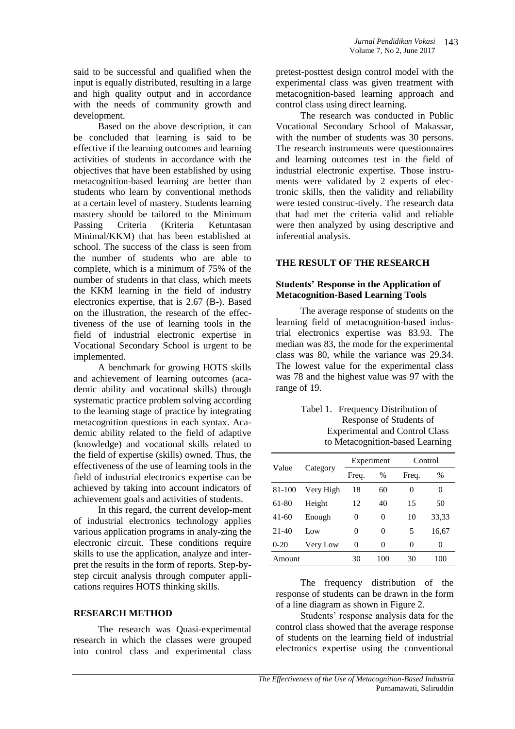said to be successful and qualified when the input is equally distributed, resulting in a large and high quality output and in accordance with the needs of community growth and development.

Based on the above description, it can be concluded that learning is said to be effective if the learning outcomes and learning activities of students in accordance with the objectives that have been established by using metacognition-based learning are better than students who learn by conventional methods at a certain level of mastery. Students learning mastery should be tailored to the Minimum Passing Criteria (Kriteria Ketuntasan Minimal/KKM) that has been established at school. The success of the class is seen from the number of students who are able to complete, which is a minimum of 75% of the number of students in that class, which meets the KKM learning in the field of industry electronics expertise, that is 2.67 (B-). Based on the illustration, the research of the effectiveness of the use of learning tools in the field of industrial electronic expertise in Vocational Secondary School is urgent to be implemented.

A benchmark for growing HOTS skills and achievement of learning outcomes (academic ability and vocational skills) through systematic practice problem solving according to the learning stage of practice by integrating metacognition questions in each syntax. Academic ability related to the field of adaptive (knowledge) and vocational skills related to the field of expertise (skills) owned. Thus, the effectiveness of the use of learning tools in the field of industrial electronics expertise can be achieved by taking into account indicators of achievement goals and activities of students.

In this regard, the current develop-ment of industrial electronics technology applies various application programs in analy-zing the electronic circuit. These conditions require skills to use the application, analyze and interpret the results in the form of reports. Step-bystep circuit analysis through computer applications requires HOTS thinking skills.

#### **RESEARCH METHOD**

The research was Quasi-experimental research in which the classes were grouped into control class and experimental class

pretest-posttest design control model with the experimental class was given treatment with metacognition-based learning approach and control class using direct learning.

The research was conducted in Public Vocational Secondary School of Makassar, with the number of students was 30 persons. The research instruments were questionnaires and learning outcomes test in the field of industrial electronic expertise. Those instruments were validated by 2 experts of electronic skills, then the validity and reliability were tested construc-tively. The research data that had met the criteria valid and reliable were then analyzed by using descriptive and inferential analysis.

# **THE RESULT OF THE RESEARCH**

#### **Students' Response in the Application of Metacognition-Based Learning Tools**

The average response of students on the learning field of metacognition-based industrial electronics expertise was 83.93. The median was 83, the mode for the experimental class was 80, while the variance was 29.34. The lowest value for the experimental class was 78 and the highest value was 97 with the range of 19.

| Tabel 1. Frequency Distribution of    |
|---------------------------------------|
| Response of Students of               |
| <b>Experimental and Control Class</b> |
| to Metacognition-based Learning       |

| Value   | Category  | Experiment |               | Control |               |
|---------|-----------|------------|---------------|---------|---------------|
|         |           | Freq.      | $\frac{0}{0}$ | Freq.   | $\frac{0}{0}$ |
| 81-100  | Very High | 18         | 60            | 0       | 0             |
| 61-80   | Height    | 12         | 40            | 15      | 50            |
| $41-60$ | Enough    | 0          | 0             | 10      | 33,33         |
| $21-40$ | Low       | 0          | 0             | 5       | 16,67         |
| $0-20$  | Very Low  | 0          | 0             | 0       | 0             |
| Amount  |           | 30         | 100           | 30      | 100           |

The frequency distribution of the response of students can be drawn in the form of a line diagram as shown in Figure 2.

Students' response analysis data for the control class showed that the average response of students on the learning field of industrial electronics expertise using the conventional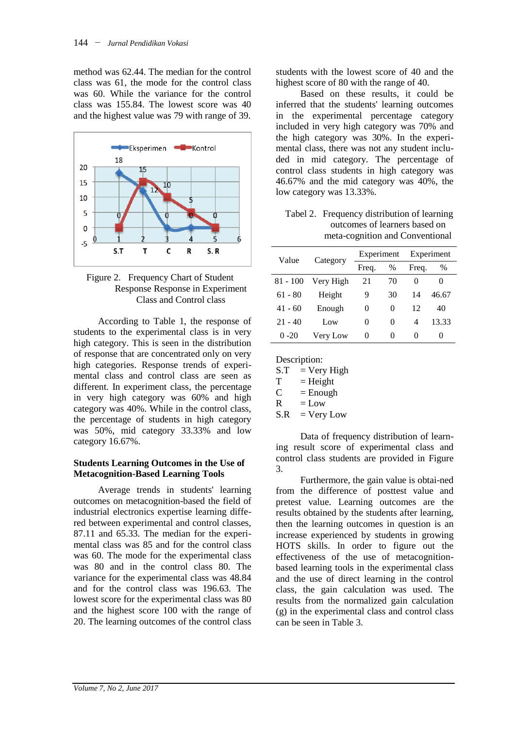method was 62.44. The median for the control class was 61, the mode for the control class was 60. While the variance for the control class was 155.84. The lowest score was 40 and the highest value was 79 with range of 39.



Figure 2. Frequency Chart of Student Response Response in Experiment Class and Control class

According to Table 1, the response of students to the experimental class is in very high category. This is seen in the distribution of response that are concentrated only on very high categories. Response trends of experimental class and control class are seen as different. In experiment class, the percentage in very high category was 60% and high category was 40%. While in the control class, the percentage of students in high category was 50%, mid category 33.33% and low category 16.67%.

### **Students Learning Outcomes in the Use of Metacognition-Based Learning Tools**

Average trends in students' learning outcomes on metacognition-based the field of industrial electronics expertise learning differed between experimental and control classes, 87.11 and 65.33. The median for the experimental class was 85 and for the control class was 60. The mode for the experimental class was 80 and in the control class 80. The variance for the experimental class was 48.84 and for the control class was 196.63. The lowest score for the experimental class was 80 and the highest score 100 with the range of 20. The learning outcomes of the control class students with the lowest score of 40 and the highest score of 80 with the range of 40.

Based on these results, it could be inferred that the students' learning outcomes in the experimental percentage category included in very high category was 70% and the high category was 30%. In the experimental class, there was not any student included in mid category. The percentage of control class students in high category was 46.67% and the mid category was 40%, the low category was 13.33%.

Tabel 2. Frequency distribution of learning outcomes of learners based on meta-cognition and Conventional

| Value     | Category  | Experiment |          | Experiment |       |
|-----------|-----------|------------|----------|------------|-------|
|           |           | Freq.      | $\%$     | Freq.      | $\%$  |
| 81 - 100  | Very High | 21         | 70       | $\theta$   | 0     |
| $61 - 80$ | Height    | 9          | 30       | 14         | 46.67 |
| $41 - 60$ | Enough    | 0          | 0        | 12         | 40    |
| $21 - 40$ | Low       | $\Omega$   | 0        | 4          | 13.33 |
| $0 - 20$  | Very Low  | $\theta$   | $\Omega$ | $\theta$   | 0     |

 $S.T = Very High$ 

 $T = Height$ 

 $C =$  Enough

 $R = Low$ 

 $S.R = Verv Low$ 

Data of frequency distribution of learning result score of experimental class and control class students are provided in Figure 3.

Furthermore, the gain value is obtai-ned from the difference of posttest value and pretest value. Learning outcomes are the results obtained by the students after learning, then the learning outcomes in question is an increase experienced by students in growing HOTS skills. In order to figure out the effectiveness of the use of metacognitionbased learning tools in the experimental class and the use of direct learning in the control class, the gain calculation was used. The results from the normalized gain calculation (g) in the experimental class and control class can be seen in Table 3.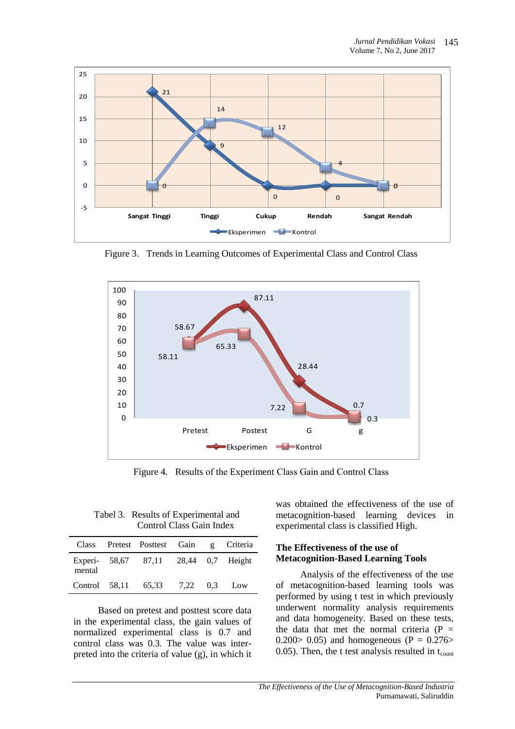

Figure 3. Trends in Learning Outcomes of Experimental Class and Control Class



Figure 4. Results of the Experiment Class Gain and Control Class

Tabel 3. Results of Experimental and Control Class Gain Index

|        | Class Pretest Posttest Gain g Criteria |  |  |
|--------|----------------------------------------|--|--|
| mental | Experi- 58.67 87.11 28.44 0.7 Height   |  |  |
|        | Control 58,11 65,33 7,22 0.3 Low       |  |  |

Based on pretest and posttest score data in the experimental class, the gain values of normalized experimental class is 0.7 and control class was 0.3. The value was interpreted into the criteria of value (g), in which it

was obtained the effectiveness of the use of metacognition-based learning devices in experimental class is classified High.

### **The Effectiveness of the use of Metacognition-Based Learning Tools**

Analysis of the effectiveness of the use of metacognition-based learning tools was performed by using t test in which previously underwent normality analysis requirements and data homogeneity. Based on these tests, the data that met the normal criteria ( $P =$ 0.200 $> 0.05$ ) and homogeneous (P = 0.276 $>$ 0.05). Then, the t test analysis resulted in  $t_{\text{count}}$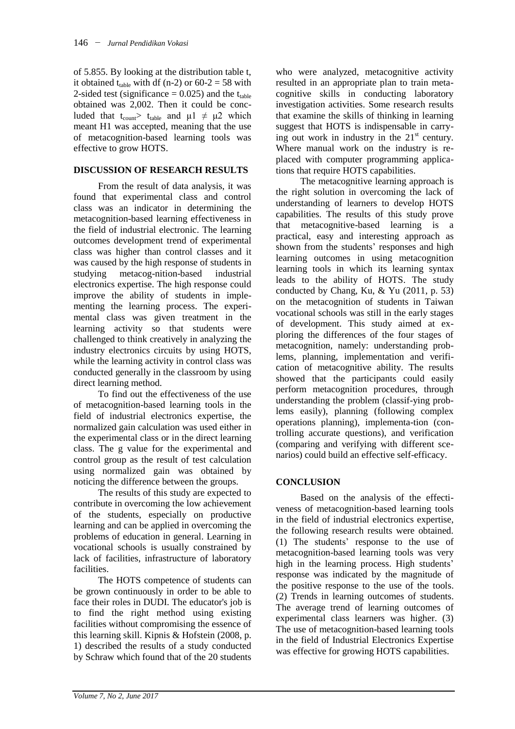of 5.855. By looking at the distribution table t, it obtained t<sub>table</sub> with df (n-2) or  $60-2 = 58$  with 2-sided test (significance  $= 0.025$ ) and the t<sub>table</sub> obtained was 2,002. Then it could be concluded that t<sub>count</sub> t<sub>table</sub> and  $\mu$ 1  $\neq$   $\mu$ 2 which meant H1 was accepted, meaning that the use of metacognition-based learning tools was effective to grow HOTS.

## **DISCUSSION OF RESEARCH RESULTS**

From the result of data analysis, it was found that experimental class and control class was an indicator in determining the metacognition-based learning effectiveness in the field of industrial electronic. The learning outcomes development trend of experimental class was higher than control classes and it was caused by the high response of students in studying metacog-nition-based industrial electronics expertise. The high response could improve the ability of students in implementing the learning process. The experimental class was given treatment in the learning activity so that students were challenged to think creatively in analyzing the industry electronics circuits by using HOTS, while the learning activity in control class was conducted generally in the classroom by using direct learning method.

To find out the effectiveness of the use of metacognition-based learning tools in the field of industrial electronics expertise, the normalized gain calculation was used either in the experimental class or in the direct learning class. The g value for the experimental and control group as the result of test calculation using normalized gain was obtained by noticing the difference between the groups.

The results of this study are expected to contribute in overcoming the low achievement of the students, especially on productive learning and can be applied in overcoming the problems of education in general. Learning in vocational schools is usually constrained by lack of facilities, infrastructure of laboratory facilities.

The HOTS competence of students can be grown continuously in order to be able to face their roles in DUDI. The educator's job is to find the right method using existing facilities without compromising the essence of this learning skill. Kipnis & Hofstein (2008, p. 1) described the results of a study conducted by Schraw which found that of the 20 students

who were analyzed, metacognitive activity resulted in an appropriate plan to train metacognitive skills in conducting laboratory investigation activities. Some research results that examine the skills of thinking in learning suggest that HOTS is indispensable in carrying out work in industry in the  $21<sup>st</sup>$  century. Where manual work on the industry is replaced with computer programming applications that require HOTS capabilities.

The metacognitive learning approach is the right solution in overcoming the lack of understanding of learners to develop HOTS capabilities. The results of this study prove that metacognitive-based learning is a practical, easy and interesting approach as shown from the students' responses and high learning outcomes in using metacognition learning tools in which its learning syntax leads to the ability of HOTS. The study conducted by Chang, Ku, & Yu (2011, p. 53) on the metacognition of students in Taiwan vocational schools was still in the early stages of development. This study aimed at exploring the differences of the four stages of metacognition, namely: understanding problems, planning, implementation and verification of metacognitive ability. The results showed that the participants could easily perform metacognition procedures, through understanding the problem (classif-ying problems easily), planning (following complex operations planning), implementa-tion (controlling accurate questions), and verification (comparing and verifying with different scenarios) could build an effective self-efficacy.

# **CONCLUSION**

Based on the analysis of the effectiveness of metacognition-based learning tools in the field of industrial electronics expertise, the following research results were obtained. (1) The students' response to the use of metacognition-based learning tools was very high in the learning process. High students' response was indicated by the magnitude of the positive response to the use of the tools. (2) Trends in learning outcomes of students. The average trend of learning outcomes of experimental class learners was higher. (3) The use of metacognition-based learning tools in the field of Industrial Electronics Expertise was effective for growing HOTS capabilities.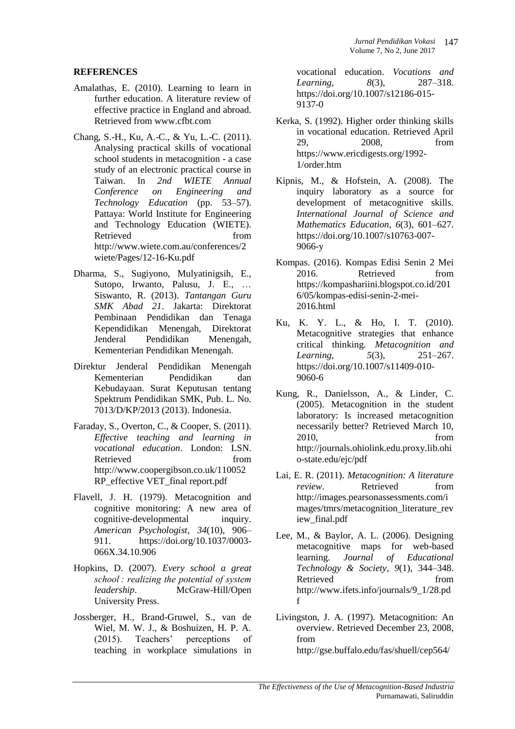### **REFERENCES**

- Amalathas, E. (2010). Learning to learn in further education. A literature review of effective practice in England and abroad. Retrieved from www.cfbt.com
- Chang, S.-H., Ku, A.-C., & Yu, L.-C. (2011). Analysing practical skills of vocational school students in metacognition - a case study of an electronic practical course in Taiwan. In *2nd WIETE Annual Conference on Engineering and Technology Education* (pp. 53–57). Pattaya: World Institute for Engineering and Technology Education (WIETE). Retrieved from http://www.wiete.com.au/conferences/2 wiete/Pages/12-16-Ku.pdf
- Dharma, S., Sugiyono, Mulyatinigsih, E., Sutopo, Irwanto, Palusu, J. E., … Siswanto, R. (2013). *Tantangan Guru SMK Abad 21*. Jakarta: Direktorat Pembinaan Pendidikan dan Tenaga Kependidikan Menengah, Direktorat Jenderal Pendidikan Menengah, Kementerian Pendidikan Menengah.
- Direktur Jenderal Pendidikan Menengah Kementerian Pendidikan dan Kebudayaan. Surat Keputusan tentang Spektrum Pendidikan SMK, Pub. L. No. 7013/D/KP/2013 (2013). Indonesia.
- Faraday, S., Overton, C., & Cooper, S. (2011). *Effective teaching and learning in vocational education*. London: LSN. Retrieved from from http://www.coopergibson.co.uk/110052 RP\_effective VET\_final report.pdf
- Flavell, J. H. (1979). Metacognition and cognitive monitoring: A new area of cognitive-developmental inquiry. *American Psychologist*, *34*(10), 906– 911. https://doi.org/10.1037/0003- 066X.34.10.906
- Hopkins, D. (2007). *Every school a great school : realizing the potential of system leadership*. McGraw-Hill/Open University Press.
- Jossberger, H., Brand-Gruwel, S., van de Wiel, M. W. J., & Boshuizen, H. P. A. (2015). Teachers' perceptions of teaching in workplace simulations in

vocational education. *Vocations and Learning*, *8*(3), 287–318. https://doi.org/10.1007/s12186-015- 9137-0

- Kerka, S. (1992). Higher order thinking skills in vocational education. Retrieved April 29, 2008, from https://www.ericdigests.org/1992- 1/order.htm
- Kipnis, M., & Hofstein, A. (2008). The inquiry laboratory as a source for development of metacognitive skills. *International Journal of Science and Mathematics Education*, *6*(3), 601–627. https://doi.org/10.1007/s10763-007- 9066-y
- Kompas. (2016). Kompas Edisi Senin 2 Mei 2016. Retrieved from https://kompashariini.blogspot.co.id/201 6/05/kompas-edisi-senin-2-mei-2016.html
- Ku, K. Y. L., & Ho, I. T. (2010). Metacognitive strategies that enhance critical thinking. *Metacognition and Learning*, *5*(3), 251–267. https://doi.org/10.1007/s11409-010- 9060-6
- Kung, R., Danielsson, A., & Linder, C. (2005). Metacognition in the student laboratory: Is increased metacognition necessarily better? Retrieved March 10, 2010, from http://journals.ohiolink.edu.proxy.lib.ohi o-state.edu/ejc/pdf
- Lai, E. R. (2011). *Metacognition: A literature review*. Retrieved from http://images.pearsonassessments.com/i mages/tmrs/metacognition\_literature\_rev iew\_final.pdf
- Lee, M., & Baylor, A. L. (2006). Designing metacognitive maps for web-based learning. *Journal of Educational Technology & Society*, *9*(1), 344–348. Retrieved from http://www.ifets.info/journals/9\_1/28.pd f
- Livingston, J. A. (1997). Metacognition: An overview. Retrieved December 23, 2008, from http://gse.buffalo.edu/fas/shuell/cep564/